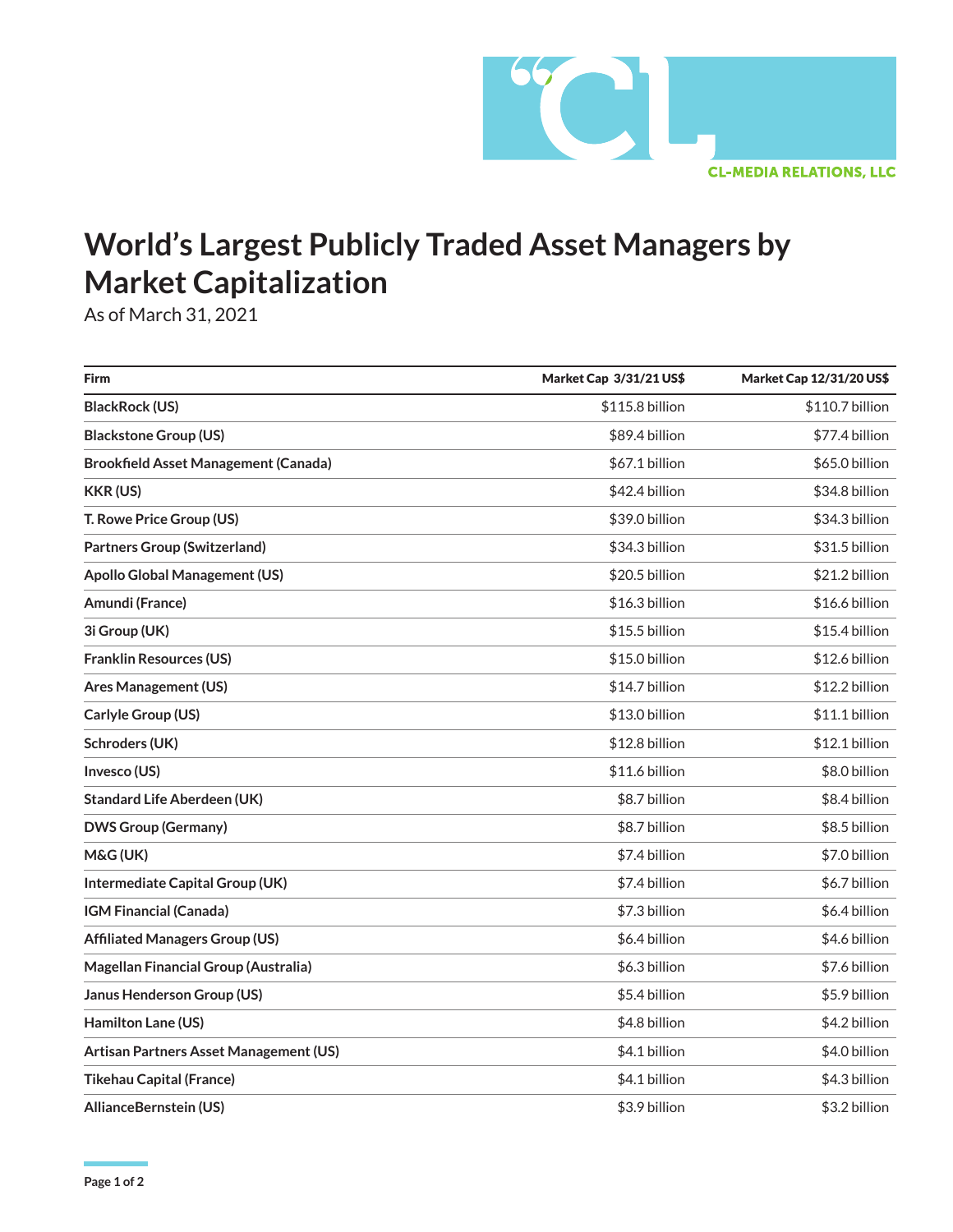

## **World's Largest Publicly Traded Asset Managers by Market Capitalization**

As of March 31, 2021

| <b>Firm</b>                                 | Market Cap 3/31/21 US\$ | Market Cap 12/31/20 US\$ |
|---------------------------------------------|-------------------------|--------------------------|
| <b>BlackRock (US)</b>                       | \$115.8 billion         | \$110.7 billion          |
| <b>Blackstone Group (US)</b>                | \$89.4 billion          | \$77.4 billion           |
| <b>Brookfield Asset Management (Canada)</b> | \$67.1 billion          | \$65.0 billion           |
| <b>KKR (US)</b>                             | \$42.4 billion          | \$34.8 billion           |
| T. Rowe Price Group (US)                    | \$39.0 billion          | \$34.3 billion           |
| <b>Partners Group (Switzerland)</b>         | \$34.3 billion          | \$31.5 billion           |
| <b>Apollo Global Management (US)</b>        | \$20.5 billion          | \$21.2 billion           |
| Amundi (France)                             | \$16.3 billion          | \$16.6 billion           |
| 3i Group (UK)                               | \$15.5 billion          | \$15.4 billion           |
| <b>Franklin Resources (US)</b>              | \$15.0 billion          | \$12.6 billion           |
| <b>Ares Management (US)</b>                 | \$14.7 billion          | \$12.2 billion           |
| Carlyle Group (US)                          | \$13.0 billion          | \$11.1 billion           |
| Schroders (UK)                              | \$12.8 billion          | \$12.1 billion           |
| Invesco (US)                                | \$11.6 billion          | \$8.0 billion            |
| <b>Standard Life Aberdeen (UK)</b>          | \$8.7 billion           | \$8.4 billion            |
| <b>DWS Group (Germany)</b>                  | \$8.7 billion           | \$8.5 billion            |
| M&G (UK)                                    | \$7.4 billion           | \$7.0 billion            |
| Intermediate Capital Group (UK)             | \$7.4 billion           | \$6.7 billion            |
| <b>IGM Financial (Canada)</b>               | \$7.3 billion           | \$6.4 billion            |
| <b>Affiliated Managers Group (US)</b>       | \$6.4 billion           | \$4.6 billion            |
| Magellan Financial Group (Australia)        | \$6.3 billion           | \$7.6 billion            |
| Janus Henderson Group (US)                  | \$5.4 billion           | \$5.9 billion            |
| Hamilton Lane (US)                          | \$4.8 billion           | \$4.2 billion            |
| Artisan Partners Asset Management (US)      | \$4.1 billion           | \$4.0 billion            |
| <b>Tikehau Capital (France)</b>             | \$4.1 billion           | \$4.3 billion            |
| AllianceBernstein (US)                      | \$3.9 billion           | \$3.2 billion            |